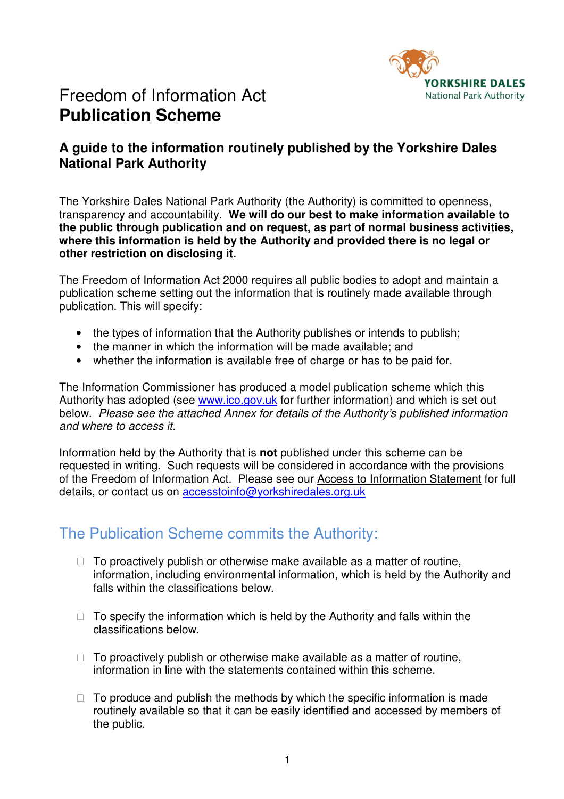

# Freedom of Information Act **Publication Scheme**

## **A guide to the information routinely published by the Yorkshire Dales National Park Authority**

The Yorkshire Dales National Park Authority (the Authority) is committed to openness, transparency and accountability. **We will do our best to make information available to the public through publication and on request, as part of normal business activities, where this information is held by the Authority and provided there is no legal or other restriction on disclosing it.** 

The Freedom of Information Act 2000 requires all public bodies to adopt and maintain a publication scheme setting out the information that is routinely made available through publication. This will specify:

- the types of information that the Authority publishes or intends to publish;
- the manner in which the information will be made available; and
- whether the information is available free of charge or has to be paid for.

The Information Commissioner has produced a model publication scheme which this Authority has adopted (see www.ico.gov.uk for further information) and which is set out below. *Please see the attached Annex for details of the Authority's published information and where to access it.* 

Information held by the Authority that is **not** published under this scheme can be requested in writing. Such requests will be considered in accordance with the provisions of the Freedom of Information Act. Please see our Access to Information Statement for full details, or contact us on **accesstoinfo@yorkshiredales.org.uk** 

## The Publication Scheme commits the Authority:

 To proactively publish or otherwise make available as a matter of routine, information, including environmental information, which is held by the Authority and falls within the classifications below.

 To specify the information which is held by the Authority and falls within the classifications below.

 To proactively publish or otherwise make available as a matter of routine, information in line with the statements contained within this scheme.

 To produce and publish the methods by which the specific information is made routinely available so that it can be easily identified and accessed by members of the public.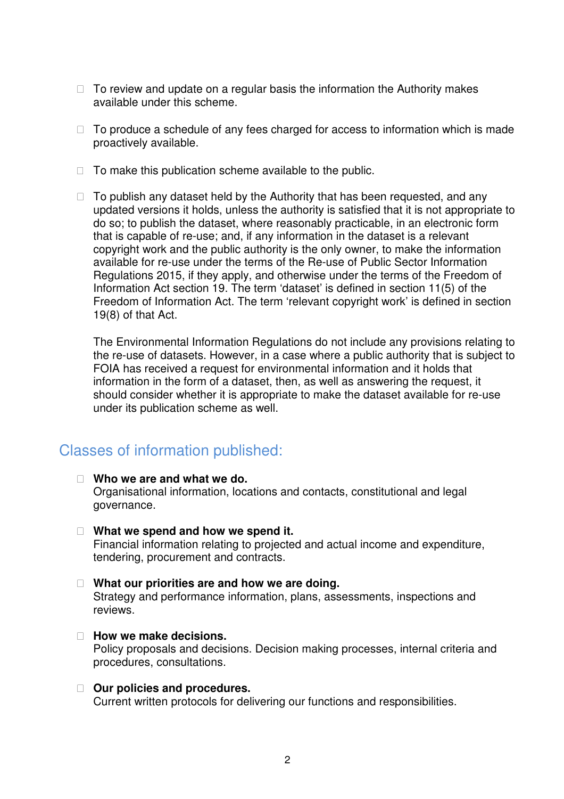To review and update on a regular basis the information the Authority makes available under this scheme.

 To produce a schedule of any fees charged for access to information which is made proactively available.

To make this publication scheme available to the public.

 To publish any dataset held by the Authority that has been requested, and any updated versions it holds, unless the authority is satisfied that it is not appropriate to do so; to publish the dataset, where reasonably practicable, in an electronic form that is capable of re-use; and, if any information in the dataset is a relevant copyright work and the public authority is the only owner, to make the information available for re-use under the terms of the Re-use of Public Sector Information Regulations 2015, if they apply, and otherwise under the terms of the Freedom of Information Act section 19. The term 'dataset' is defined in section 11(5) of the Freedom of Information Act. The term 'relevant copyright work' is defined in section 19(8) of that Act.

The Environmental Information Regulations do not include any provisions relating to the re-use of datasets. However, in a case where a public authority that is subject to FOIA has received a request for environmental information and it holds that information in the form of a dataset, then, as well as answering the request, it should consider whether it is appropriate to make the dataset available for re-use under its publication scheme as well.

## Classes of information published:

#### **Who we are and what we do.**

Organisational information, locations and contacts, constitutional and legal governance.

#### **What we spend and how we spend it.**

Financial information relating to projected and actual income and expenditure, tendering, procurement and contracts.

#### **What our priorities are and how we are doing.**

Strategy and performance information, plans, assessments, inspections and reviews.

#### **How we make decisions.**

Policy proposals and decisions. Decision making processes, internal criteria and procedures, consultations.

#### **Our policies and procedures.**

Current written protocols for delivering our functions and responsibilities.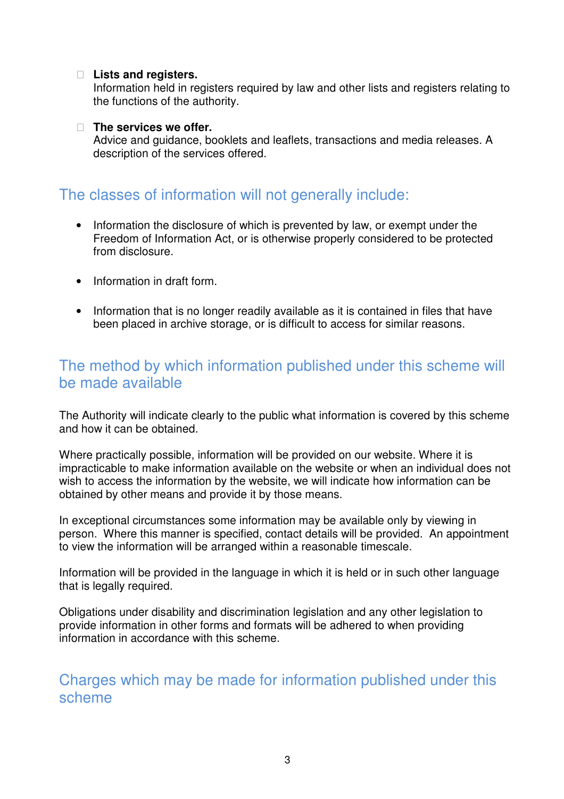### **Lists and registers.**

Information held in registers required by law and other lists and registers relating to the functions of the authority.

#### **The services we offer.**

Advice and guidance, booklets and leaflets, transactions and media releases. A description of the services offered.

## The classes of information will not generally include:

- Information the disclosure of which is prevented by law, or exempt under the Freedom of Information Act, or is otherwise properly considered to be protected from disclosure.
- Information in draft form.
- Information that is no longer readily available as it is contained in files that have been placed in archive storage, or is difficult to access for similar reasons.

## The method by which information published under this scheme will be made available

The Authority will indicate clearly to the public what information is covered by this scheme and how it can be obtained.

Where practically possible, information will be provided on our website. Where it is impracticable to make information available on the website or when an individual does not wish to access the information by the website, we will indicate how information can be obtained by other means and provide it by those means.

In exceptional circumstances some information may be available only by viewing in person. Where this manner is specified, contact details will be provided. An appointment to view the information will be arranged within a reasonable timescale.

Information will be provided in the language in which it is held or in such other language that is legally required.

Obligations under disability and discrimination legislation and any other legislation to provide information in other forms and formats will be adhered to when providing information in accordance with this scheme.

Charges which may be made for information published under this scheme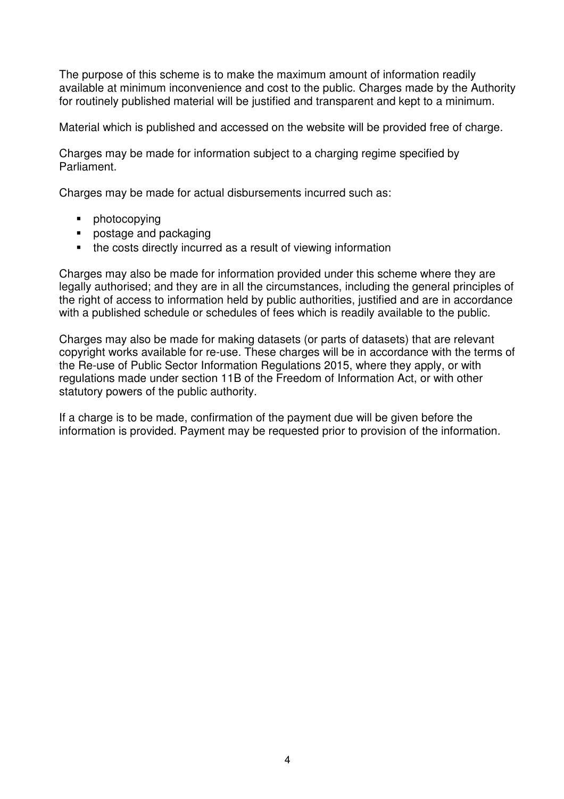The purpose of this scheme is to make the maximum amount of information readily available at minimum inconvenience and cost to the public. Charges made by the Authority for routinely published material will be justified and transparent and kept to a minimum.

Material which is published and accessed on the website will be provided free of charge.

Charges may be made for information subject to a charging regime specified by Parliament.

Charges may be made for actual disbursements incurred such as:

- **•** photocopying
- **postage and packaging**
- the costs directly incurred as a result of viewing information

Charges may also be made for information provided under this scheme where they are legally authorised; and they are in all the circumstances, including the general principles of the right of access to information held by public authorities, justified and are in accordance with a published schedule or schedules of fees which is readily available to the public.

Charges may also be made for making datasets (or parts of datasets) that are relevant copyright works available for re-use. These charges will be in accordance with the terms of the Re-use of Public Sector Information Regulations 2015, where they apply, or with regulations made under section 11B of the Freedom of Information Act, or with other statutory powers of the public authority.

If a charge is to be made, confirmation of the payment due will be given before the information is provided. Payment may be requested prior to provision of the information.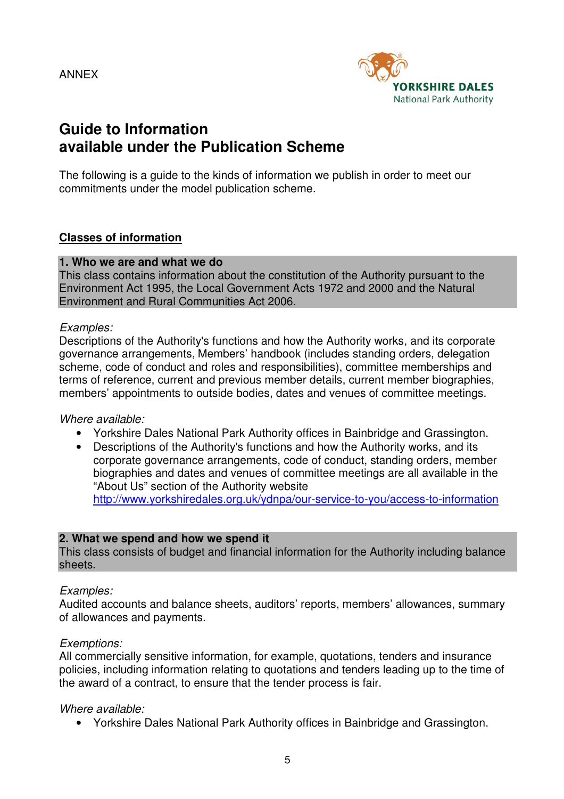ANNEX



## **Guide to Information available under the Publication Scheme**

The following is a guide to the kinds of information we publish in order to meet our commitments under the model publication scheme.

### **Classes of information**

#### **1. Who we are and what we do**

This class contains information about the constitution of the Authority pursuant to the Environment Act 1995, the Local Government Acts 1972 and 2000 and the Natural Environment and Rural Communities Act 2006.

#### *Examples:*

Descriptions of the Authority's functions and how the Authority works, and its corporate governance arrangements, Members' handbook (includes standing orders, delegation scheme, code of conduct and roles and responsibilities), committee memberships and terms of reference, current and previous member details, current member biographies, members' appointments to outside bodies, dates and venues of committee meetings.

#### *Where available:*

- Yorkshire Dales National Park Authority offices in Bainbridge and Grassington.
- Descriptions of the Authority's functions and how the Authority works, and its corporate governance arrangements, code of conduct, standing orders, member biographies and dates and venues of committee meetings are all available in the "About Us" section of the Authority website http://www.yorkshiredales.org.uk/ydnpa/our-service-to-you/access-to-information

#### **2. What we spend and how we spend it**

This class consists of budget and financial information for the Authority including balance sheets.

#### *Examples:*

Audited accounts and balance sheets, auditors' reports, members' allowances, summary of allowances and payments.

#### *Exemptions:*

All commercially sensitive information, for example, quotations, tenders and insurance policies, including information relating to quotations and tenders leading up to the time of the award of a contract, to ensure that the tender process is fair.

#### *Where available:*

• Yorkshire Dales National Park Authority offices in Bainbridge and Grassington.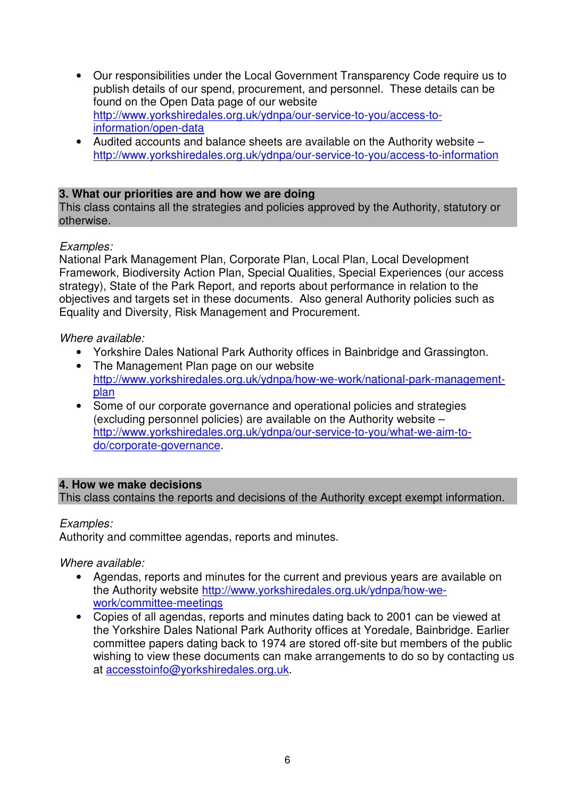- Our responsibilities under the Local Government Transparency Code require us to publish details of our spend, procurement, and personnel. These details can be found on the Open Data page of our website http://www.yorkshiredales.org.uk/ydnpa/our-service-to-you/access-toinformation/open-data
- Audited accounts and balance sheets are available on the Authority website http://www.yorkshiredales.org.uk/ydnpa/our-service-to-you/access-to-information

### **3. What our priorities are and how we are doing**

This class contains all the strategies and policies approved by the Authority, statutory or otherwise.

### *Examples:*

National Park Management Plan, Corporate Plan, Local Plan, Local Development Framework, Biodiversity Action Plan, Special Qualities, Special Experiences (our access strategy), State of the Park Report, and reports about performance in relation to the objectives and targets set in these documents. Also general Authority policies such as Equality and Diversity, Risk Management and Procurement.

#### *Where available:*

- Yorkshire Dales National Park Authority offices in Bainbridge and Grassington.
- The Management Plan page on our website http://www.yorkshiredales.org.uk/ydnpa/how-we-work/national-park-managementplan
- Some of our corporate governance and operational policies and strategies (excluding personnel policies) are available on the Authority website – http://www.yorkshiredales.org.uk/ydnpa/our-service-to-you/what-we-aim-todo/corporate-governance.

#### **4. How we make decisions**

This class contains the reports and decisions of the Authority except exempt information.

### *Examples:*

Authority and committee agendas, reports and minutes.

*Where available:* 

- Agendas, reports and minutes for the current and previous years are available on the Authority website http://www.yorkshiredales.org.uk/ydnpa/how-wework/committee-meetings
- Copies of all agendas, reports and minutes dating back to 2001 can be viewed at the Yorkshire Dales National Park Authority offices at Yoredale, Bainbridge. Earlier committee papers dating back to 1974 are stored off-site but members of the public wishing to view these documents can make arrangements to do so by contacting us at accesstoinfo@yorkshiredales.org.uk.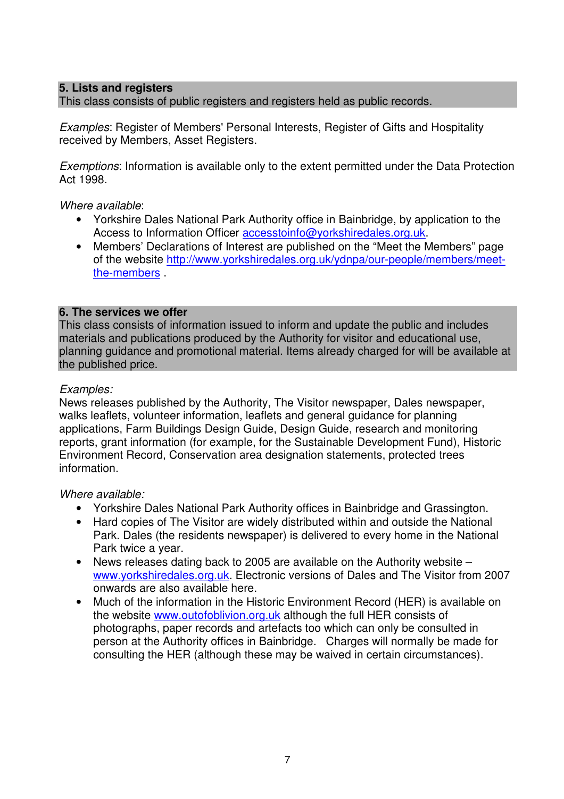### **5. Lists and registers**

This class consists of public registers and registers held as public records.

*Examples*: Register of Members' Personal Interests, Register of Gifts and Hospitality received by Members, Asset Registers.

*Exemptions*: Information is available only to the extent permitted under the Data Protection Act 1998.

*Where available*:

- Yorkshire Dales National Park Authority office in Bainbridge, by application to the Access to Information Officer accesstoinfo@yorkshiredales.org.uk.
- Members' Declarations of Interest are published on the "Meet the Members" page of the website http://www.yorkshiredales.org.uk/ydnpa/our-people/members/meetthe-members .

### **6. The services we offer**

This class consists of information issued to inform and update the public and includes materials and publications produced by the Authority for visitor and educational use, planning guidance and promotional material. Items already charged for will be available at the published price.

### *Examples:*

News releases published by the Authority, The Visitor newspaper, Dales newspaper, walks leaflets, volunteer information, leaflets and general guidance for planning applications, Farm Buildings Design Guide, Design Guide, research and monitoring reports, grant information (for example, for the Sustainable Development Fund), Historic Environment Record, Conservation area designation statements, protected trees information.

*Where available:* 

- Yorkshire Dales National Park Authority offices in Bainbridge and Grassington.
- Hard copies of The Visitor are widely distributed within and outside the National Park. Dales (the residents newspaper) is delivered to every home in the National Park twice a year.
- News releases dating back to 2005 are available on the Authority website www.yorkshiredales.org.uk. Electronic versions of Dales and The Visitor from 2007 onwards are also available here.
- Much of the information in the Historic Environment Record (HER) is available on the website www.outofoblivion.org.uk although the full HER consists of photographs, paper records and artefacts too which can only be consulted in person at the Authority offices in Bainbridge. Charges will normally be made for consulting the HER (although these may be waived in certain circumstances).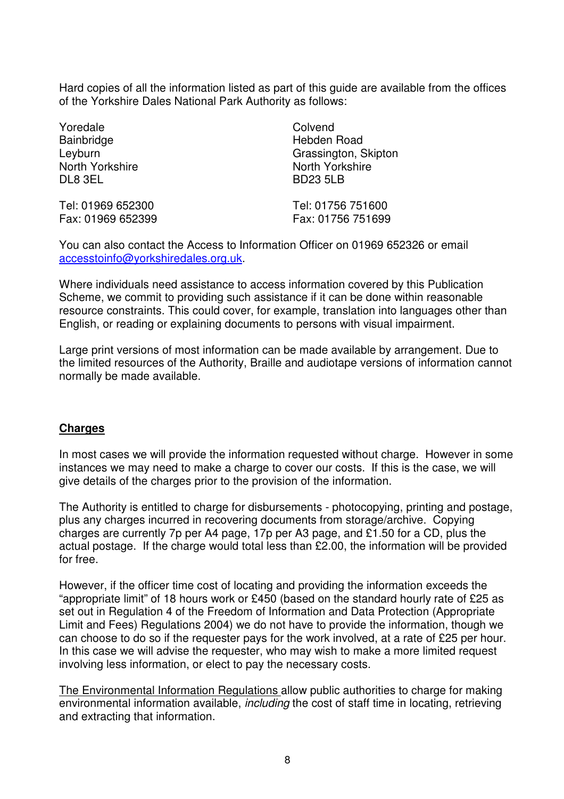Hard copies of all the information listed as part of this guide are available from the offices of the Yorkshire Dales National Park Authority as follows:

Yoredale **Bainbridge** Leyburn North Yorkshire DL8 3EL

Tel: 01969 652300 Fax: 01969 652399 **Colvend** Hebden Road Grassington, Skipton North Yorkshire BD23 5LB

Tel: 01756 751600 Fax: 01756 751699

You can also contact the Access to Information Officer on 01969 652326 or email accesstoinfo@yorkshiredales.org.uk.

Where individuals need assistance to access information covered by this Publication Scheme, we commit to providing such assistance if it can be done within reasonable resource constraints. This could cover, for example, translation into languages other than English, or reading or explaining documents to persons with visual impairment.

Large print versions of most information can be made available by arrangement. Due to the limited resources of the Authority, Braille and audiotape versions of information cannot normally be made available.

### **Charges**

In most cases we will provide the information requested without charge. However in some instances we may need to make a charge to cover our costs. If this is the case, we will give details of the charges prior to the provision of the information.

The Authority is entitled to charge for disbursements - photocopying, printing and postage, plus any charges incurred in recovering documents from storage/archive. Copying charges are currently 7p per A4 page, 17p per A3 page, and £1.50 for a CD, plus the actual postage. If the charge would total less than £2.00, the information will be provided for free.

However, if the officer time cost of locating and providing the information exceeds the "appropriate limit" of 18 hours work or £450 (based on the standard hourly rate of £25 as set out in Regulation 4 of the Freedom of Information and Data Protection (Appropriate Limit and Fees) Regulations 2004) we do not have to provide the information, though we can choose to do so if the requester pays for the work involved, at a rate of £25 per hour. In this case we will advise the requester, who may wish to make a more limited request involving less information, or elect to pay the necessary costs.

The Environmental Information Regulations allow public authorities to charge for making environmental information available, *including* the cost of staff time in locating, retrieving and extracting that information.